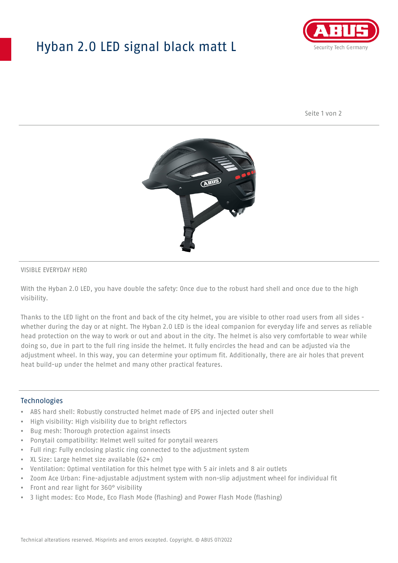## Hyban 2.0 LED signal black matt L



Seite 1 von 2



#### VISIBLE EVERYDAY HERO

With the Hyban 2.0 LED, you have double the safety: Once due to the robust hard shell and once due to the high visibility.

Thanks to the LED light on the front and back of the city helmet, you are visible to other road users from all sides whether during the day or at night. The Hyban 2.0 LED is the ideal companion for everyday life and serves as reliable head protection on the way to work or out and about in the city. The helmet is also very comfortable to wear while doing so, due in part to the full ring inside the helmet. It fully encircles the head and can be adjusted via the adjustment wheel. In this way, you can determine your optimum fit. Additionally, there are air holes that prevent heat build-up under the helmet and many other practical features.

#### Technologies

- ABS hard shell: Robustly constructed helmet made of EPS and injected outer shell
- High visibility: High visibility due to bright reflectors
- Bug mesh: Thorough protection against insects
- Ponytail compatibility: Helmet well suited for ponytail wearers
- Full ring: Fully enclosing plastic ring connected to the adjustment system
- XL Size: Large helmet size available (62+ cm)
- Ventilation: Optimal ventilation for this helmet type with 5 air inlets and 8 air outlets
- Zoom Ace Urban: Fine-adjustable adjustment system with non-slip adjustment wheel for individual fit
- Front and rear light for 360° visibility
- 3 light modes: Eco Mode, Eco Flash Mode (flashing) and Power Flash Mode (flashing)